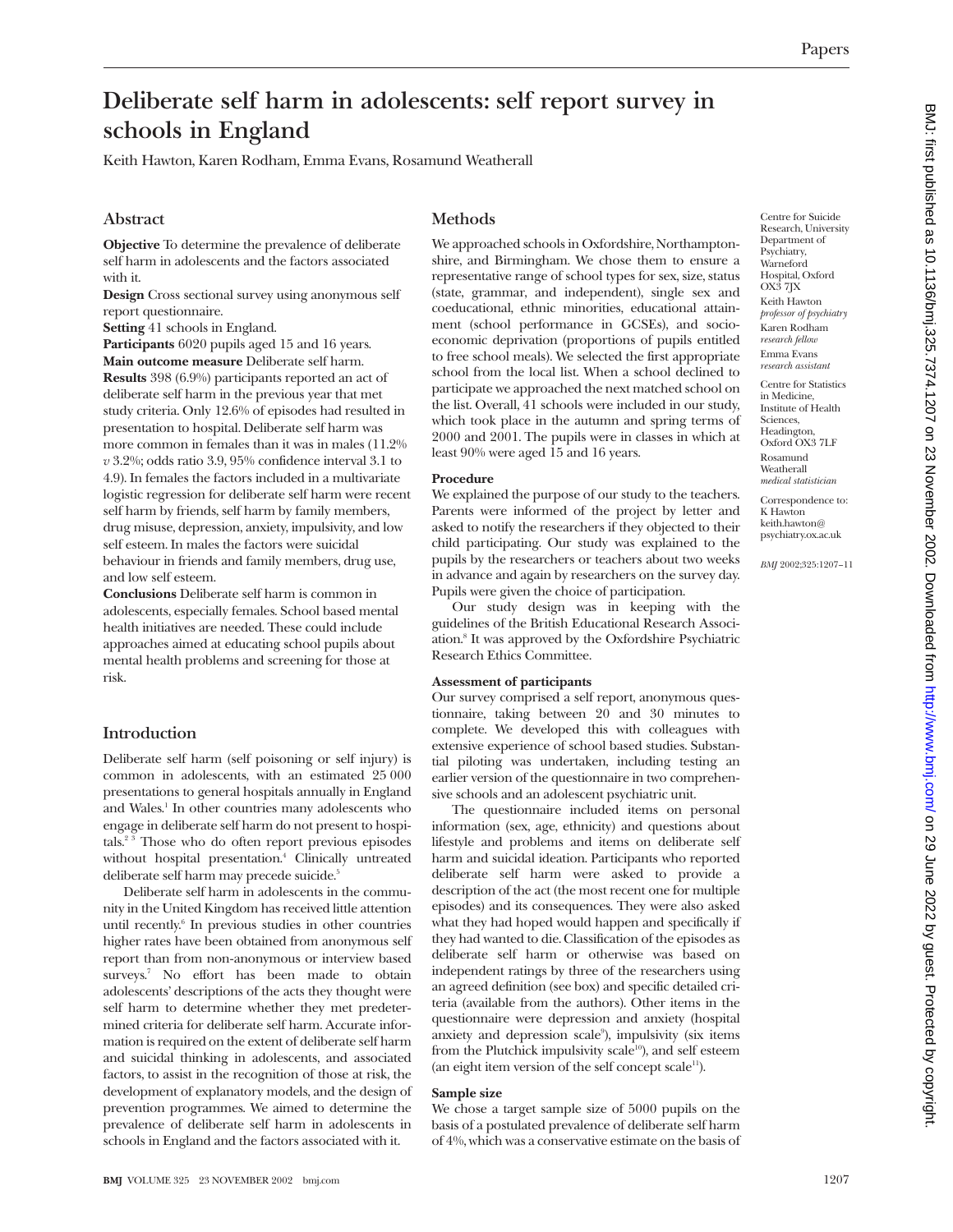# **Deliberate self harm in adolescents: self report survey in schools in England**

Keith Hawton, Karen Rodham, Emma Evans, Rosamund Weatherall

# **Abstract**

**Objective** To determine the prevalence of deliberate self harm in adolescents and the factors associated with it.

**Design** Cross sectional survey using anonymous self report questionnaire.

**Setting** 41 schools in England.

**Participants** 6020 pupils aged 15 and 16 years. **Main outcome measure** Deliberate self harm.

**Results** 398 (6.9%) participants reported an act of deliberate self harm in the previous year that met study criteria. Only 12.6% of episodes had resulted in presentation to hospital. Deliberate self harm was more common in females than it was in males (11.2% *v* 3.2%; odds ratio 3.9, 95% confidence interval 3.1 to 4.9). In females the factors included in a multivariate logistic regression for deliberate self harm were recent self harm by friends, self harm by family members, drug misuse, depression, anxiety, impulsivity, and low self esteem. In males the factors were suicidal behaviour in friends and family members, drug use, and low self esteem.

**Conclusions** Deliberate self harm is common in adolescents, especially females. School based mental health initiatives are needed. These could include approaches aimed at educating school pupils about mental health problems and screening for those at risk.

# **Introduction**

Deliberate self harm (self poisoning or self injury) is common in adolescents, with an estimated 25 000 presentations to general hospitals annually in England and Wales.<sup>1</sup> In other countries many adolescents who engage in deliberate self harm do not present to hospitals.2 3 Those who do often report previous episodes without hospital presentation.<sup>4</sup> Clinically untreated deliberate self harm may precede suicide.<sup>5</sup>

Deliberate self harm in adolescents in the community in the United Kingdom has received little attention until recently.<sup>6</sup> In previous studies in other countries higher rates have been obtained from anonymous self report than from non-anonymous or interview based surveys.<sup>7</sup> No effort has been made to obtain adolescents' descriptions of the acts they thought were self harm to determine whether they met predetermined criteria for deliberate self harm. Accurate information is required on the extent of deliberate self harm and suicidal thinking in adolescents, and associated factors, to assist in the recognition of those at risk, the development of explanatory models, and the design of prevention programmes. We aimed to determine the prevalence of deliberate self harm in adolescents in schools in England and the factors associated with it.

# **Methods**

We approached schools in Oxfordshire, Northamptonshire, and Birmingham. We chose them to ensure a representative range of school types for sex, size, status (state, grammar, and independent), single sex and coeducational, ethnic minorities, educational attainment (school performance in GCSEs), and socioeconomic deprivation (proportions of pupils entitled to free school meals). We selected the first appropriate school from the local list. When a school declined to participate we approached the next matched school on the list. Overall, 41 schools were included in our study, which took place in the autumn and spring terms of 2000 and 2001. The pupils were in classes in which at least 90% were aged 15 and 16 years.

#### **Procedure**

We explained the purpose of our study to the teachers. Parents were informed of the project by letter and asked to notify the researchers if they objected to their child participating. Our study was explained to the pupils by the researchers or teachers about two weeks in advance and again by researchers on the survey day. Pupils were given the choice of participation.

Our study design was in keeping with the guidelines of the British Educational Research Association.8 It was approved by the Oxfordshire Psychiatric Research Ethics Committee.

## **Assessment of participants**

Our survey comprised a self report, anonymous questionnaire, taking between 20 and 30 minutes to complete. We developed this with colleagues with extensive experience of school based studies. Substantial piloting was undertaken, including testing an earlier version of the questionnaire in two comprehensive schools and an adolescent psychiatric unit.

The questionnaire included items on personal information (sex, age, ethnicity) and questions about lifestyle and problems and items on deliberate self harm and suicidal ideation. Participants who reported deliberate self harm were asked to provide a description of the act (the most recent one for multiple episodes) and its consequences. They were also asked what they had hoped would happen and specifically if they had wanted to die. Classification of the episodes as deliberate self harm or otherwise was based on independent ratings by three of the researchers using an agreed definition (see box) and specific detailed criteria (available from the authors). Other items in the questionnaire were depression and anxiety (hospital anxiety and depression scale<sup>9</sup>), impulsivity (six items from the Plutchick impulsivity scale<sup>10</sup>), and self esteem (an eight item version of the self concept scale $11$ ).

#### **Sample size**

We chose a target sample size of 5000 pupils on the basis of a postulated prevalence of deliberate self harm of 4%, which was a conservative estimate on the basis of Centre for Suicide Research, University Department of Psychiatry, Warneford Hospital, Oxford OX3 7JX

*medical statistician* Correspondence to: K Hawton keith.hawton@ psychiatry.ox.ac.uk

Weatherall

*BMJ* 2002;325:1207–11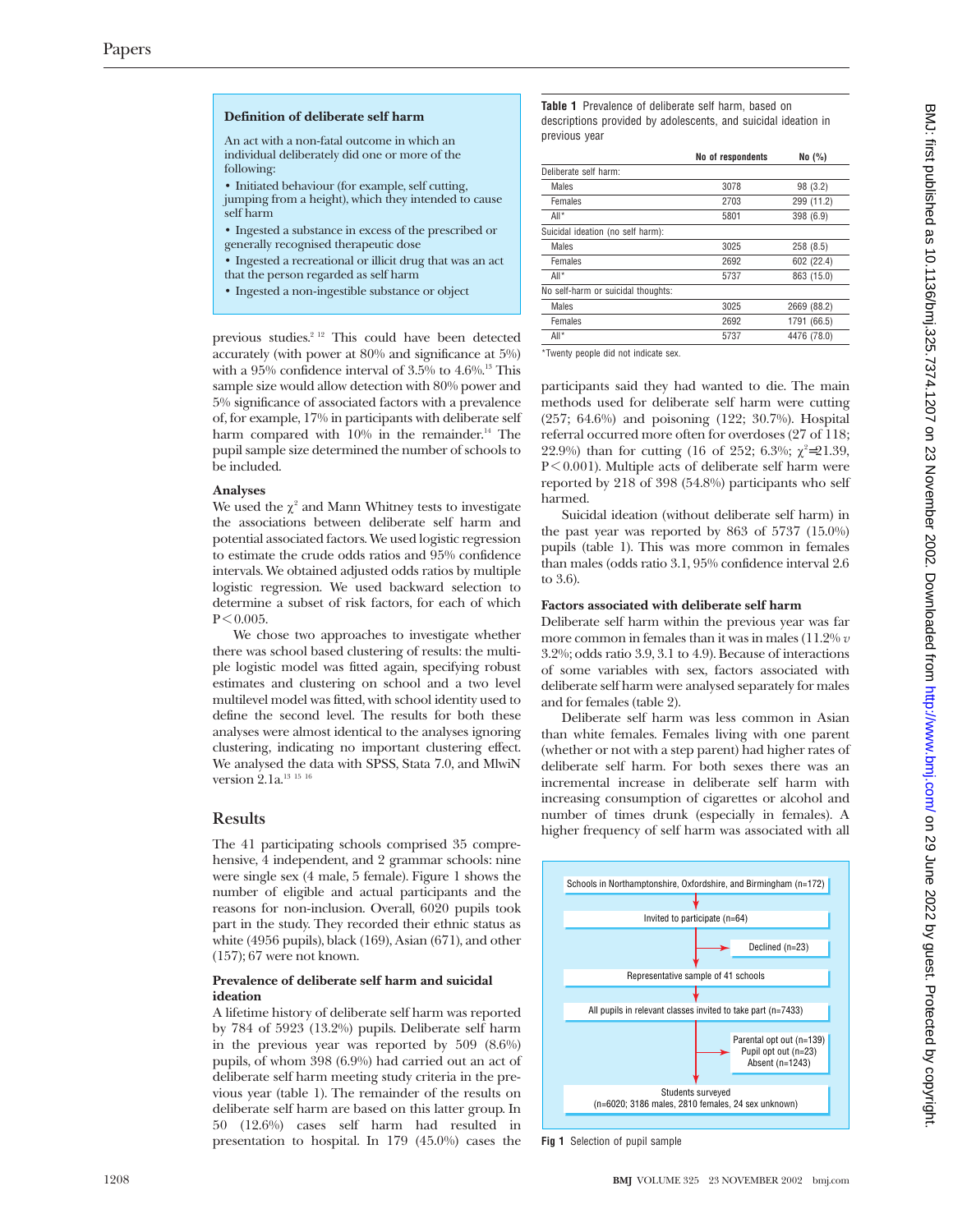#### **Definition of deliberate self harm**

An act with a non-fatal outcome in which an individual deliberately did one or more of the following:

- Initiated behaviour (for example, self cutting, jumping from a height), which they intended to cause self harm
- Ingested a substance in excess of the prescribed or generally recognised therapeutic dose
- Ingested a recreational or illicit drug that was an act that the person regarded as self harm
- Ingested a non-ingestible substance or object

previous studies.<sup>2 12</sup> This could have been detected accurately (with power at 80% and significance at 5%) with a  $95\%$  confidence interval of  $3.5\%$  to  $4.6\%$ .<sup>13</sup> This sample size would allow detection with 80% power and 5% significance of associated factors with a prevalence of, for example, 17% in participants with deliberate self harm compared with  $10\%$  in the remainder.<sup>14</sup> The pupil sample size determined the number of schools to be included.

#### **Analyses**

We used the  $\chi^2$  and Mann Whitney tests to investigate the associations between deliberate self harm and potential associated factors. We used logistic regression to estimate the crude odds ratios and 95% confidence intervals. We obtained adjusted odds ratios by multiple logistic regression. We used backward selection to determine a subset of risk factors, for each of which  $P < 0.005$ .

We chose two approaches to investigate whether there was school based clustering of results: the multiple logistic model was fitted again, specifying robust estimates and clustering on school and a two level multilevel model was fitted, with school identity used to define the second level. The results for both these analyses were almost identical to the analyses ignoring clustering, indicating no important clustering effect. We analysed the data with SPSS, Stata 7.0, and MlwiN version 2.1a.<sup>13</sup> <sup>15</sup> <sup>16</sup>

## **Results**

The 41 participating schools comprised 35 comprehensive, 4 independent, and 2 grammar schools: nine were single sex (4 male, 5 female). Figure 1 shows the number of eligible and actual participants and the reasons for non-inclusion. Overall, 6020 pupils took part in the study. They recorded their ethnic status as white (4956 pupils), black (169), Asian (671), and other (157); 67 were not known.

# **Prevalence of deliberate self harm and suicidal ideation**

A lifetime history of deliberate self harm was reported by 784 of 5923 (13.2%) pupils. Deliberate self harm in the previous year was reported by 509 (8.6%) pupils, of whom 398 (6.9%) had carried out an act of deliberate self harm meeting study criteria in the previous year (table 1). The remainder of the results on deliberate self harm are based on this latter group. In 50 (12.6%) cases self harm had resulted in presentation to hospital. In 179 (45.0%) cases the

**Table 1** Prevalence of deliberate self harm, based on descriptions provided by adolescents, and suicidal ideation in previous year

|                                    | No of respondents | No $(%)$    |
|------------------------------------|-------------------|-------------|
| Deliberate self harm:              |                   |             |
| <b>Males</b>                       | 3078              | 98 (3.2)    |
| Females                            | 2703              | 299 (11.2)  |
| $All*$                             | 5801              | 398 (6.9)   |
| Suicidal ideation (no self harm):  |                   |             |
| <b>Males</b>                       | 3025              | 258(8.5)    |
| Females                            | 2692              | 602 (22.4)  |
| $All*$                             | 5737              | 863 (15.0)  |
| No self-harm or suicidal thoughts: |                   |             |
| <b>Males</b>                       | 3025              | 2669 (88.2) |
| Females                            | 2692              | 1791 (66.5) |
| All*                               | 5737              | 4476 (78.0) |

\*Twenty people did not indicate sex.

participants said they had wanted to die. The main methods used for deliberate self harm were cutting (257; 64.6%) and poisoning (122; 30.7%). Hospital referral occurred more often for overdoses (27 of 118; 22.9%) than for cutting (16 of 252; 6.3%;  $\chi^2 = 21.39$ ,  $P < 0.001$ ). Multiple acts of deliberate self harm were reported by 218 of 398 (54.8%) participants who self harmed.

Suicidal ideation (without deliberate self harm) in the past year was reported by 863 of 5737 (15.0%) pupils (table 1). This was more common in females than males (odds ratio 3.1, 95% confidence interval 2.6 to 3.6).

## **Factors associated with deliberate self harm**

Deliberate self harm within the previous year was far more common in females than it was in males (11.2% *v* 3.2%; odds ratio 3.9, 3.1 to 4.9). Because of interactions of some variables with sex, factors associated with deliberate self harm were analysed separately for males and for females (table 2).

Deliberate self harm was less common in Asian than white females. Females living with one parent (whether or not with a step parent) had higher rates of deliberate self harm. For both sexes there was an incremental increase in deliberate self harm with increasing consumption of cigarettes or alcohol and number of times drunk (especially in females). A higher frequency of self harm was associated with all



**Fig 1** Selection of pupil sample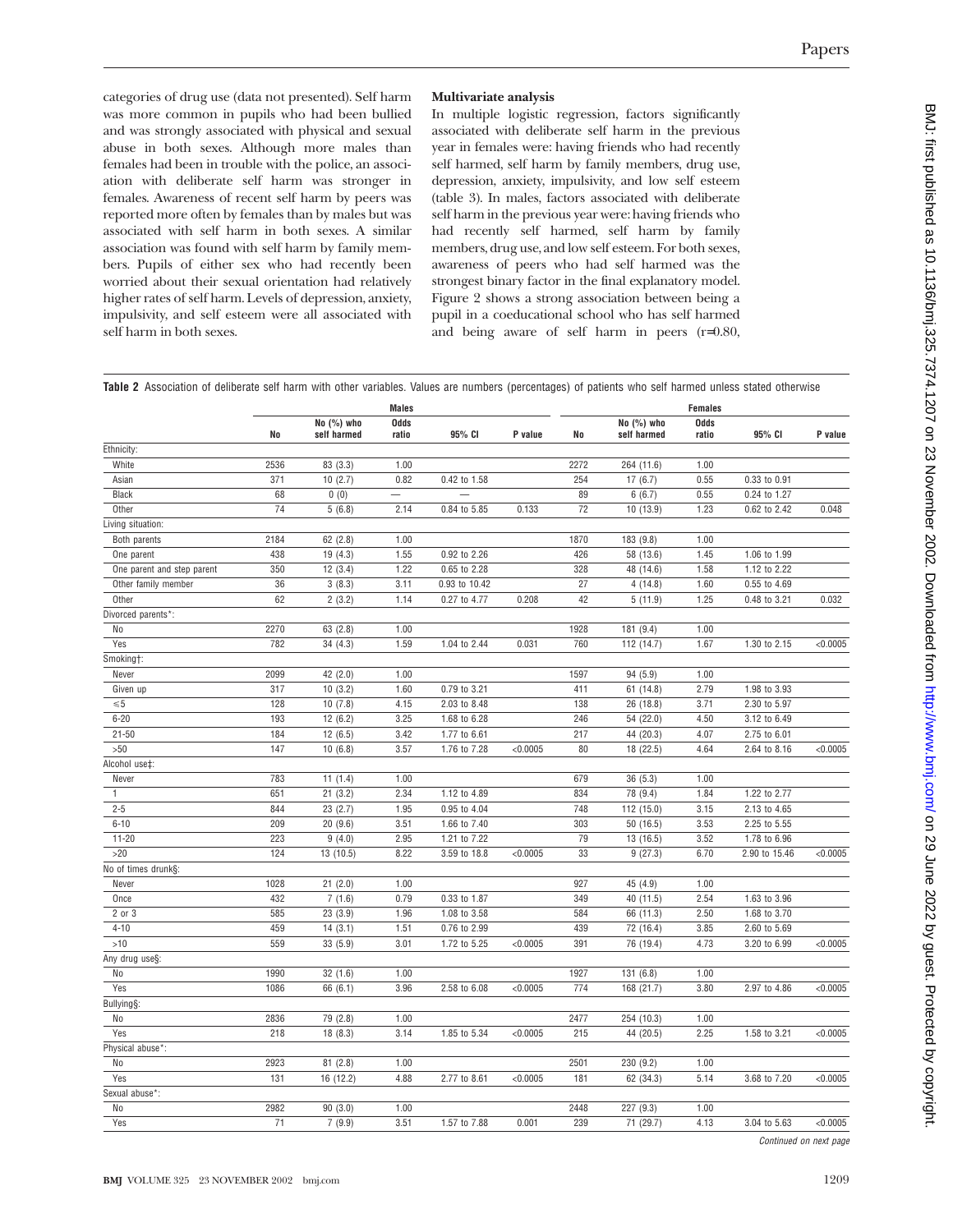#### **Multivariate analysis**

categories of drug use (data not presented). Self harm was more common in pupils who had been bullied and was strongly associated with physical and sexual abuse in both sexes. Although more males than females had been in trouble with the police, an association with deliberate self harm was stronger in females. Awareness of recent self harm by peers was reported more often by females than by males but was associated with self harm in both sexes. A similar association was found with self harm by family members. Pupils of either sex who had recently been worried about their sexual orientation had relatively higher rates of self harm. Levels of depression, anxiety, impulsivity, and self esteem were all associated with self harm in both sexes.

In multiple logistic regression, factors significantly associated with deliberate self harm in the previous year in females were: having friends who had recently self harmed, self harm by family members, drug use, depression, anxiety, impulsivity, and low self esteem (table 3). In males, factors associated with deliberate self harm in the previous year were: having friends who had recently self harmed, self harm by family members, drug use, and low self esteem. For both sexes, awareness of peers who had self harmed was the strongest binary factor in the final explanatory model. Figure 2 shows a strong association between being a pupil in a coeducational school who has self harmed and being aware of self harm in peers (r=0.80,

**Table 2** Association of deliberate self harm with other variables. Values are numbers (percentages) of patients who self harmed unless stated otherwise

|                            |           |                             | <b>Males</b>         |               |          |           |                             | <b>Females</b>       |               |          |
|----------------------------|-----------|-----------------------------|----------------------|---------------|----------|-----------|-----------------------------|----------------------|---------------|----------|
|                            | <b>No</b> | No $(%)$ who<br>self harmed | <b>Odds</b><br>ratio | 95% CI        | P value  | <b>No</b> | $No$ (%) who<br>self harmed | <b>Odds</b><br>ratio | 95% CI        | P value  |
| Ethnicity:                 |           |                             |                      |               |          |           |                             |                      |               |          |
| White                      | 2536      | 83 (3.3)                    | 1.00                 |               |          | 2272      | 264 (11.6)                  | 1.00                 |               |          |
| Asian                      | 371       | 10(2.7)                     | 0.82                 | 0.42 to 1.58  |          | 254       | 17(6.7)                     | 0.55                 | 0.33 to 0.91  |          |
| <b>Black</b>               | 68        | 0(0)                        | -                    |               |          | 89        | 6(6.7)                      | 0.55                 | 0.24 to 1.27  |          |
| Other                      | 74        | 5(6.8)                      | 2.14                 | 0.84 to 5.85  | 0.133    | 72        | 10 (13.9)                   | 1.23                 | 0.62 to 2.42  | 0.048    |
| Living situation:          |           |                             |                      |               |          |           |                             |                      |               |          |
| Both parents               | 2184      | 62(2.8)                     | 1.00                 |               |          | 1870      | 183 (9.8)                   | 1.00                 |               |          |
| One parent                 | 438       | 19 (4.3)                    | 1.55                 | 0.92 to 2.26  |          | 426       | 58 (13.6)                   | 1.45                 | 1.06 to 1.99  |          |
| One parent and step parent | 350       | 12(3.4)                     | 1.22                 | 0.65 to 2.28  |          | 328       | 48 (14.6)                   | 1.58                 | 1.12 to 2.22  |          |
| Other family member        | 36        | 3(8.3)                      | 3.11                 | 0.93 to 10.42 |          | 27        | 4(14.8)                     | 1.60                 | 0.55 to 4.69  |          |
| Other                      | 62        | 2(3.2)                      | 1.14                 | 0.27 to 4.77  | 0.208    | 42        | 5(11.9)                     | 1.25                 | 0.48 to 3.21  | 0.032    |
| Divorced parents*:         |           |                             |                      |               |          |           |                             |                      |               |          |
| No                         | 2270      | 63 (2.8)                    | 1.00                 |               |          | 1928      | 181 (9.4)                   | 1.00                 |               |          |
| Yes                        | 782       | 34 (4.3)                    | 1.59                 | 1.04 to 2.44  | 0.031    | 760       | 112 (14.7)                  | 1.67                 | 1.30 to 2.15  | < 0.0005 |
| Smoking†:                  |           |                             |                      |               |          |           |                             |                      |               |          |
| Never                      | 2099      | 42 (2.0)                    | 1.00                 |               |          | 1597      | 94 (5.9)                    | 1.00                 |               |          |
| Given up                   | 317       | 10(3.2)                     | 1.60                 | 0.79 to 3.21  |          | 411       | 61 (14.8)                   | 2.79                 | 1.98 to 3.93  |          |
| ${\leq}5$                  | 128       | 10(7.8)                     | 4.15                 | 2.03 to 8.48  |          | 138       | 26 (18.8)                   | 3.71                 | 2.30 to 5.97  |          |
| $6 - 20$                   | 193       | 12(6.2)                     | 3.25                 | 1.68 to 6.28  |          | 246       | 54 (22.0)                   | 4.50                 | 3.12 to 6.49  |          |
| $21 - 50$                  | 184       | 12(6.5)                     | 3.42                 | 1.77 to 6.61  |          | 217       | 44 (20.3)                   | 4.07                 | 2.75 to 6.01  |          |
| >50                        | 147       | 10(6.8)                     | 3.57                 | 1.76 to 7.28  | < 0.0005 | 80        | 18 (22.5)                   | 4.64                 | 2.64 to 8.16  | < 0.0005 |
| Alcohol use‡:              |           |                             |                      |               |          |           |                             |                      |               |          |
| Never                      | 783       | 11(1.4)                     | 1.00                 |               |          | 679       | 36(5.3)                     | 1.00                 |               |          |
| $\mathbf{1}$               | 651       | 21(3.2)                     | 2.34                 | 1.12 to 4.89  |          | 834       | 78 (9.4)                    | 1.84                 | 1.22 to 2.77  |          |
| $2 - 5$                    | 844       | 23(2.7)                     | 1.95                 | 0.95 to 4.04  |          | 748       | 112 (15.0)                  | 3.15                 | 2.13 to 4.65  |          |
| $6 - 10$                   | 209       | 20(9.6)                     | 3.51                 | 1.66 to 7.40  |          | 303       | 50 (16.5)                   | 3.53                 | 2.25 to 5.55  |          |
| $11 - 20$                  | 223       | 9(4.0)                      | 2.95                 | 1.21 to 7.22  |          | 79        | 13 (16.5)                   | 3.52                 | 1.78 to 6.96  |          |
| >20                        | 124       | 13 (10.5)                   | 8.22                 | 3.59 to 18.8  | < 0.0005 | 33        | 9(27.3)                     | 6.70                 | 2.90 to 15.46 | < 0.0005 |
| No of times drunk§:        |           |                             |                      |               |          |           |                             |                      |               |          |
| Never                      | 1028      | 21(2.0)                     | 1.00                 |               |          | 927       | 45 (4.9)                    | 1.00                 |               |          |
| Once                       | 432       | 7(1.6)                      | 0.79                 | 0.33 to 1.87  |          | 349       | 40 (11.5)                   | 2.54                 | 1.63 to 3.96  |          |
| 2 or 3                     | 585       | 23(3.9)                     | 1.96                 | 1.08 to 3.58  |          | 584       | 66 (11.3)                   | 2.50                 | 1.68 to 3.70  |          |
| $4 - 10$                   | 459       | 14(3.1)                     | 1.51                 | 0.76 to 2.99  |          | 439       | 72 (16.4)                   | 3.85                 | 2.60 to 5.69  |          |
| >10                        | 559       | 33 (5.9)                    | 3.01                 | 1.72 to 5.25  | < 0.0005 | 391       | 76 (19.4)                   | 4.73                 | 3.20 to 6.99  | < 0.0005 |
| Any drug use§:             |           |                             |                      |               |          |           |                             |                      |               |          |
| No                         | 1990      | 32 (1.6)                    | 1.00                 |               |          | 1927      | 131 (6.8)                   | 1.00                 |               |          |
| Yes                        | 1086      | 66 (6.1)                    | 3.96                 | 2.58 to 6.08  | < 0.0005 | 774       | 168 (21.7)                  | 3.80                 | 2.97 to 4.86  | < 0.0005 |
| Bullying§:                 |           |                             |                      |               |          |           |                             |                      |               |          |
| No                         | 2836      | 79 (2.8)                    | 1.00                 |               |          | 2477      | 254 (10.3)                  | 1.00                 |               |          |
| Yes                        | 218       | 18(8.3)                     | 3.14                 | 1.85 to 5.34  | < 0.0005 | 215       | 44 (20.5)                   | 2.25                 | 1.58 to 3.21  | < 0.0005 |
| Physical abuse*:           |           |                             |                      |               |          |           |                             |                      |               |          |
| No                         | 2923      | 81(2.8)                     | 1.00                 |               |          | 2501      | 230 (9.2)                   | 1.00                 |               |          |
| Yes                        | 131       | 16 (12.2)                   | 4.88                 | 2.77 to 8.61  | < 0.0005 | 181       | 62 (34.3)                   | 5.14                 | 3.68 to 7.20  | < 0.0005 |
| Sexual abuse*:             |           |                             |                      |               |          |           |                             |                      |               |          |
| No                         | 2982      | 90(3.0)                     | 1.00                 |               |          | 2448      | 227 (9.3)                   | 1.00                 |               |          |
| Yes                        | 71        | 7(9.9)                      | 3.51                 | 1.57 to 7.88  | 0.001    | 239       | 71 (29.7)                   | 4.13                 | 3.04 to 5.63  | < 0.0005 |

Continued on next page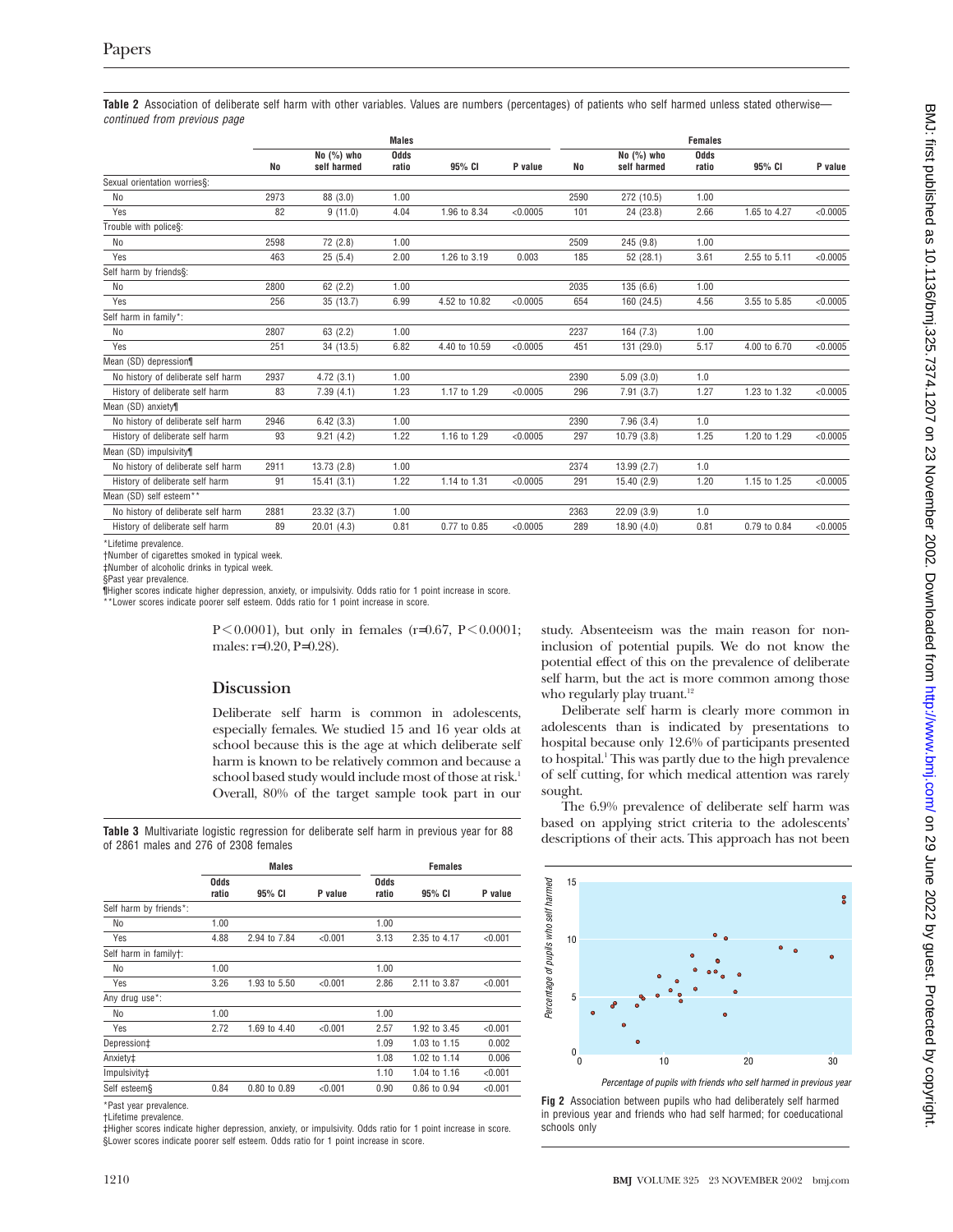Table 2 Association of deliberate self harm with other variables. Values are numbers (percentages) of patients who self harmed unless stated otherwisecontinued from previous page

|                                    | <b>Males</b> |                             |                      |               | <b>Females</b> |           |                               |                      |              |          |
|------------------------------------|--------------|-----------------------------|----------------------|---------------|----------------|-----------|-------------------------------|----------------------|--------------|----------|
|                                    | No           | No $(%)$ who<br>self harmed | <b>Odds</b><br>ratio | 95% CI        | P value        | <b>No</b> | $No$ $(*)$ who<br>self harmed | <b>Odds</b><br>ratio | 95% CI       | P value  |
| Sexual orientation worries§:       |              |                             |                      |               |                |           |                               |                      |              |          |
| No                                 | 2973         | 88 (3.0)                    | 1.00                 |               |                | 2590      | 272 (10.5)                    | 1.00                 |              |          |
| Yes                                | 82           | 9(11.0)                     | 4.04                 | 1.96 to 8.34  | < 0.0005       | 101       | 24 (23.8)                     | 2.66                 | 1.65 to 4.27 | < 0.0005 |
| Trouble with police§:              |              |                             |                      |               |                |           |                               |                      |              |          |
| <b>No</b>                          | 2598         | 72(2.8)                     | 1.00                 |               |                | 2509      | 245(9.8)                      | 1.00                 |              |          |
| Yes                                | 463          | 25(5.4)                     | 2.00                 | 1.26 to 3.19  | 0.003          | 185       | 52(28.1)                      | 3.61                 | 2.55 to 5.11 | < 0.0005 |
| Self harm by friends§:             |              |                             |                      |               |                |           |                               |                      |              |          |
| <b>No</b>                          | 2800         | 62(2.2)                     | 1.00                 |               |                | 2035      | 135(6.6)                      | 1.00                 |              |          |
| Yes                                | 256          | 35 (13.7)                   | 6.99                 | 4.52 to 10.82 | < 0.0005       | 654       | 160 (24.5)                    | 4.56                 | 3.55 to 5.85 | < 0.0005 |
| Self harm in family*:              |              |                             |                      |               |                |           |                               |                      |              |          |
| <b>No</b>                          | 2807         | 63 (2.2)                    | 1.00                 |               |                | 2237      | 164(7.3)                      | 1.00                 |              |          |
| Yes                                | 251          | 34 (13.5)                   | 6.82                 | 4.40 to 10.59 | < 0.0005       | 451       | 131 (29.0)                    | 5.17                 | 4.00 to 6.70 | < 0.0005 |
| Mean (SD) depression¶              |              |                             |                      |               |                |           |                               |                      |              |          |
| No history of deliberate self harm | 2937         | 4.72(3.1)                   | 1.00                 |               |                | 2390      | 5.09(3.0)                     | 1.0                  |              |          |
| History of deliberate self harm    | 83           | 7.39(4.1)                   | 1.23                 | 1.17 to 1.29  | < 0.0005       | 296       | 7.91(3.7)                     | 1.27                 | 1.23 to 1.32 | < 0.0005 |
| Mean (SD) anxiety¶                 |              |                             |                      |               |                |           |                               |                      |              |          |
| No history of deliberate self harm | 2946         | 6.42(3.3)                   | 1.00                 |               |                | 2390      | 7.96(3.4)                     | 1.0                  |              |          |
| History of deliberate self harm    | 93           | 9.21(4.2)                   | 1.22                 | 1.16 to 1.29  | < 0.0005       | 297       | 10.79(3.8)                    | 1.25                 | 1.20 to 1.29 | < 0.0005 |
| Mean (SD) impulsivity¶             |              |                             |                      |               |                |           |                               |                      |              |          |
| No history of deliberate self harm | 2911         | 13.73(2.8)                  | 1.00                 |               |                | 2374      | 13.99(2.7)                    | 1.0                  |              |          |
| History of deliberate self harm    | 91           | 15.41(3.1)                  | 1.22                 | 1.14 to 1.31  | < 0.0005       | 291       | 15.40 (2.9)                   | 1.20                 | 1.15 to 1.25 | < 0.0005 |
| Mean (SD) self esteem**            |              |                             |                      |               |                |           |                               |                      |              |          |
| No history of deliberate self harm | 2881         | 23.32 (3.7)                 | 1.00                 |               |                | 2363      | 22.09(3.9)                    | 1.0                  |              |          |
| History of deliberate self harm    | 89           | 20.01(4.3)                  | 0.81                 | 0.77 to 0.85  | < 0.0005       | 289       | 18.90(4.0)                    | 0.81                 | 0.79 to 0.84 | < 0.0005 |

\*Lifetime prevalence.

†Number of cigarettes smoked in typical week.

‡Number of alcoholic drinks in typical week.

§Past year prevalence.

¶Higher scores indicate higher depression, anxiety, or impulsivity. Odds ratio for 1 point increase in score.

\*\*Lower scores indicate poorer self esteem. Odds ratio for 1 point increase in score.

P < 0.0001), but only in females (r=0.67, P < 0.0001; males: r=0.20, P=0.28).

# **Discussion**

Deliberate self harm is common in adolescents, especially females. We studied 15 and 16 year olds at school because this is the age at which deliberate self harm is known to be relatively common and because a school based study would include most of those at risk.<sup>1</sup> Overall, 80% of the target sample took part in our

study. Absenteeism was the main reason for noninclusion of potential pupils. We do not know the potential effect of this on the prevalence of deliberate self harm, but the act is more common among those who regularly play truant.<sup>12</sup>

Deliberate self harm is clearly more common in adolescents than is indicated by presentations to hospital because only 12.6% of participants presented to hospital.<sup>1</sup> This was partly due to the high prevalence of self cutting, for which medical attention was rarely sought.

The 6.9% prevalence of deliberate self harm was based on applying strict criteria to the adolescents' descriptions of their acts. This approach has not been

Percentage of pupils who self harmed

of pupils

Percentage

who self

harmed

10

5

15

 $0\ 0$ 

**Table 3** Multivariate logistic regression for deliberate self harm in previous year for 88 of 2861 males and 276 of 2308 females

|                        |               | <b>Males</b> |         | <b>Females</b>       |              |         |  |  |
|------------------------|---------------|--------------|---------|----------------------|--------------|---------|--|--|
|                        | Odds<br>ratio | 95% CI       | P value | <b>Odds</b><br>ratio | 95% CI       | P value |  |  |
| Self harm by friends*: |               |              |         |                      |              |         |  |  |
| No                     | 1.00          |              |         | 1.00                 |              |         |  |  |
| Yes                    | 4.88          | 2.94 to 7.84 | < 0.001 | 3.13                 | 2.35 to 4.17 | < 0.001 |  |  |
| Self harm in family†:  |               |              |         |                      |              |         |  |  |
| No                     | 1.00          |              |         | 1.00                 |              |         |  |  |
| Yes                    | 3.26          | 1.93 to 5.50 | < 0.001 | 2.86                 | 2.11 to 3.87 | < 0.001 |  |  |
| Any drug use*:         |               |              |         |                      |              |         |  |  |
| No                     | 1.00          |              |         | 1.00                 |              |         |  |  |
| Yes                    | 2.72          | 1.69 to 4.40 | < 0.001 | 2.57                 | 1.92 to 3.45 | < 0.001 |  |  |
| Depression‡            |               |              |         | 1.09                 | 1.03 to 1.15 | 0.002   |  |  |
| Anxiety‡               |               |              |         | 1.08                 | 1.02 to 1.14 | 0.006   |  |  |
| Impulsivity‡           |               |              |         | 1.10                 | 1.04 to 1.16 | < 0.001 |  |  |
| Self esteem§           | 0.84          | 0.80 to 0.89 | < 0.001 | 0.90                 | 0.86 to 0.94 | < 0.001 |  |  |
|                        |               |              |         |                      |              |         |  |  |

\*Past year prevalence.

†Lifetime prevalence.

‡Higher scores indicate higher depression, anxiety, or impulsivity. Odds ratio for 1 point increase in score. §Lower scores indicate poorer self esteem. Odds ratio for 1 point increase in score.



**Fig 2** Association between pupils who had deliberately self harmed in previous year and friends who had self harmed; for coeducational schools only